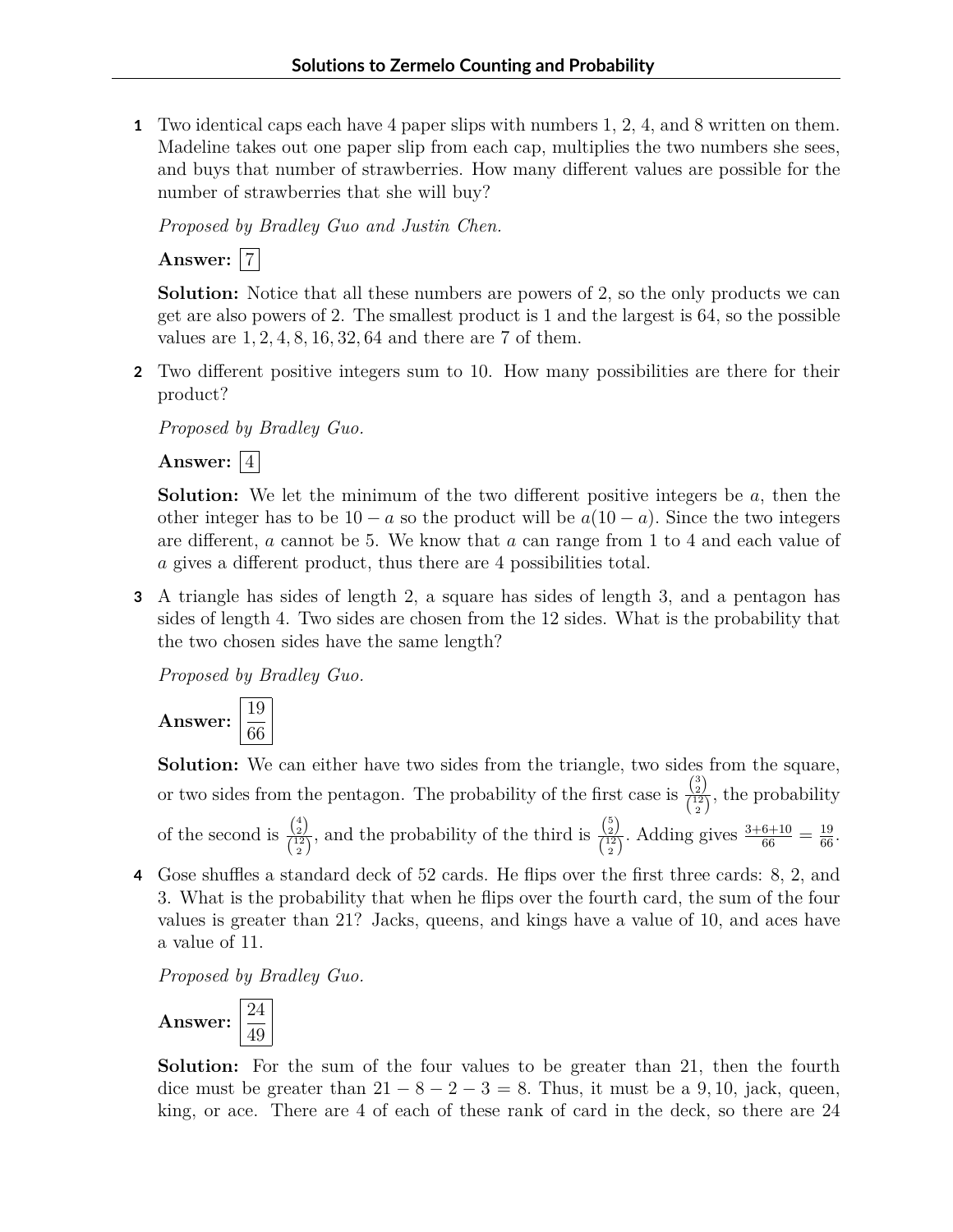**1** Two identical caps each have 4 paper slips with numbers 1, 2, 4, and 8 written on them. Madeline takes out one paper slip from each cap, multiplies the two numbers she sees, and buys that number of strawberries. How many different values are possible for the number of strawberries that she will buy?

*Proposed by Bradley Guo and Justin Chen.*

**Answer:** 7

**Solution:** Notice that all these numbers are powers of 2, so the only products we can get are also powers of 2. The smallest product is 1 and the largest is 64, so the possible values are 1*,* 2*,* 4*,* 8*,* 16*,* 32*,* 64 and there are 7 of them.

**2** Two different positive integers sum to 10. How many possibilities are there for their product?

*Proposed by Bradley Guo.*

Answer:  $|4|$ 

**Solution:** We let the minimum of the two different positive integers be *a*, then the other integer has to be  $10 - a$  so the product will be  $a(10 - a)$ . Since the two integers are different, *a* cannot be 5. We know that *a* can range from 1 to 4 and each value of *a* gives a different product, thus there are 4 possibilities total.

**3** A triangle has sides of length 2, a square has sides of length 3, and a pentagon has sides of length 4. Two sides are chosen from the 12 sides. What is the probability that the two chosen sides have the same length?

*Proposed by Bradley Guo.*



**Solution:** We can either have two sides from the triangle, two sides from the square, or two sides from the pentagon. The probability of the first case is  $\frac{\binom{3}{2}}{\binom{12}{12}}$  $\frac{\binom{2}{2}}{\binom{12}{2}}$ , the probability of the second is  $\frac{\binom{4}{2}}{\binom{12}{2}}$  $\frac{\binom{4}{2}}{\binom{12}{2}}$ , and the probability of the third is  $\frac{\binom{5}{2}}{\binom{12}{2}}$  $\frac{\binom{2}{2}}{\binom{12}{2}}$ . Adding gives  $\frac{3+6+10}{66} = \frac{19}{66}$ .

**4** Gose shuffles a standard deck of 52 cards. He flips over the first three cards: 8, 2, and 3. What is the probability that when he flips over the fourth card, the sum of the four values is greater than 21? Jacks, queens, and kings have a value of 10, and aces have a value of 11.

*Proposed by Bradley Guo.*



**Solution:** For the sum of the four values to be greater than 21, then the fourth dice must be greater than  $21 - 8 - 2 - 3 = 8$ . Thus, it must be a 9, 10, jack, queen, king, or ace. There are 4 of each of these rank of card in the deck, so there are 24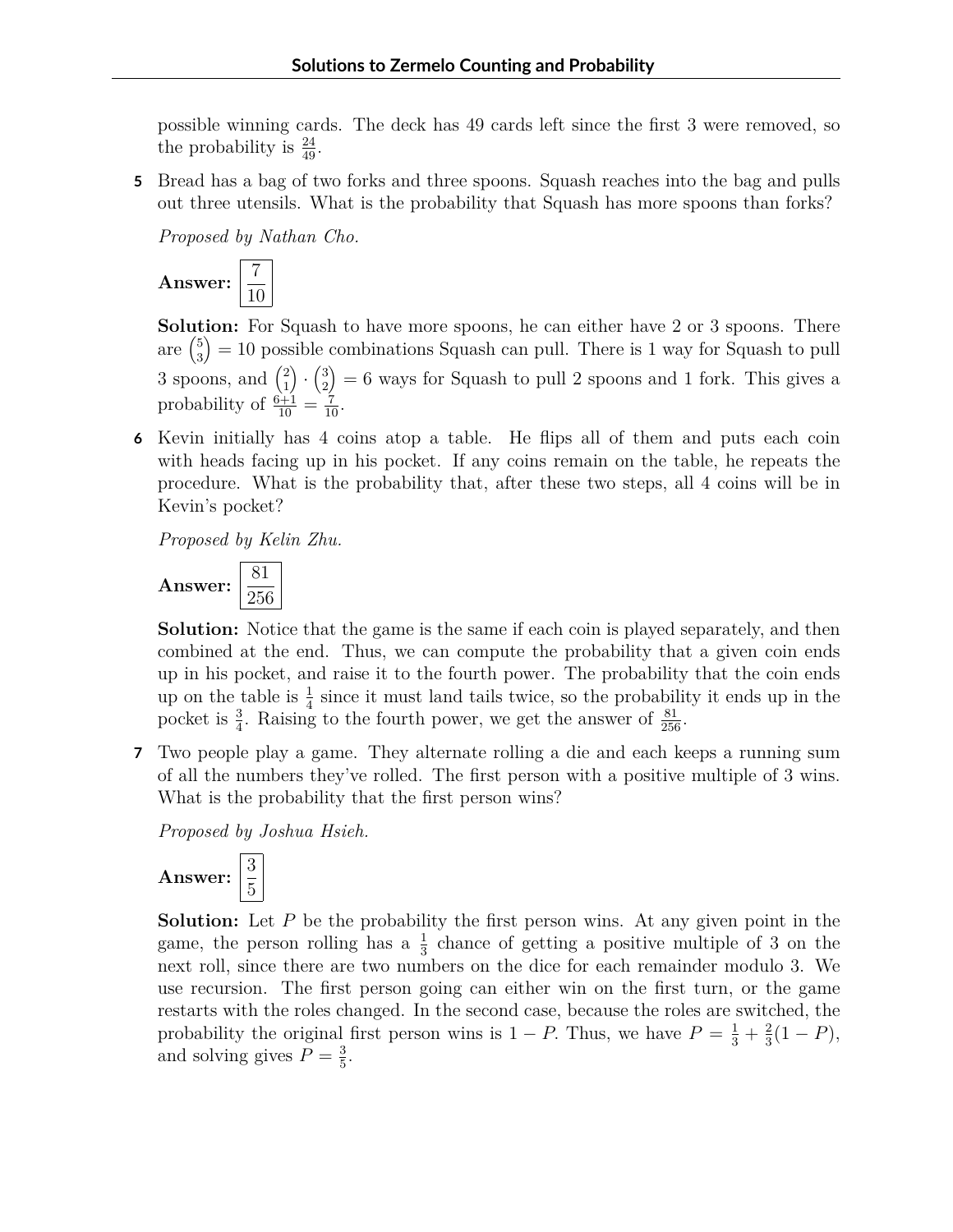possible winning cards. The deck has 49 cards left since the first 3 were removed, so the probability is  $\frac{24}{49}$ .

**5** Bread has a bag of two forks and three spoons. Squash reaches into the bag and pulls out three utensils. What is the probability that Squash has more spoons than forks?

*Proposed by Nathan Cho.*



**Solution:** For Squash to have more spoons, he can either have 2 or 3 spoons. There are  $\binom{5}{3} = 10$  possible combinations Squash can pull. There is 1 way for Squash to pull 3 3 spoons, and  $\binom{2}{1}$ 1  $\Big) \cdot \Big( \frac{3}{2}$ 2  $= 6$  ways for Squash to pull 2 spoons and 1 fork. This gives a probability of  $\frac{6+1}{10} = \frac{7}{10}$ .

**6** Kevin initially has 4 coins atop a table. He flips all of them and puts each coin with heads facing up in his pocket. If any coins remain on the table, he repeats the procedure. What is the probability that, after these two steps, all 4 coins will be in Kevin's pocket?

*Proposed by Kelin Zhu.*



**Solution:** Notice that the game is the same if each coin is played separately, and then combined at the end. Thus, we can compute the probability that a given coin ends up in his pocket, and raise it to the fourth power. The probability that the coin ends up on the table is  $\frac{1}{4}$  since it must land tails twice, so the probability it ends up in the pocket is  $\frac{3}{4}$ . Raising to the fourth power, we get the answer of  $\frac{81}{256}$ .

**7** Two people play a game. They alternate rolling a die and each keeps a running sum of all the numbers they've rolled. The first person with a positive multiple of 3 wins. What is the probability that the first person wins?

*Proposed by Joshua Hsieh.*



**Solution:** Let P be the probability the first person wins. At any given point in the game, the person rolling has a  $\frac{1}{3}$  chance of getting a positive multiple of 3 on the next roll, since there are two numbers on the dice for each remainder modulo 3. We use recursion. The first person going can either win on the first turn, or the game restarts with the roles changed. In the second case, because the roles are switched, the probability the original first person wins is  $1 - P$ . Thus, we have  $P = \frac{1}{3} + \frac{2}{3}$  $rac{2}{3}(1-P),$ and solving gives  $P = \frac{3}{5}$  $\frac{3}{5}$ .